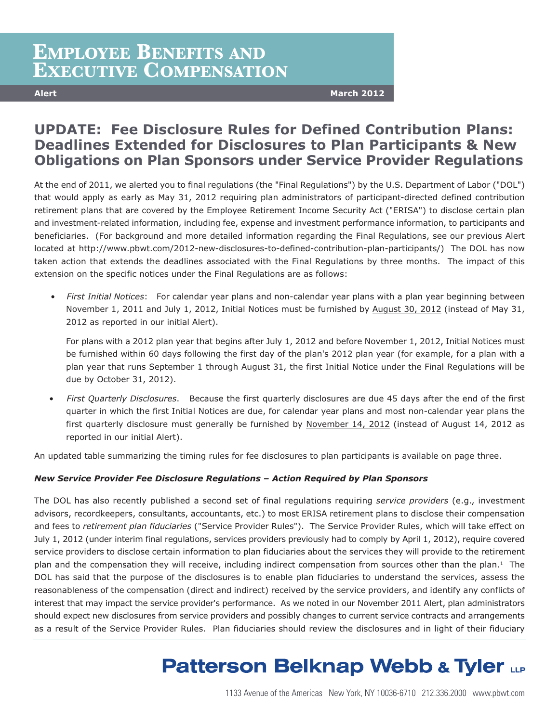## **EMPLOYEE BENEFITS AND EXECUTIVE COMPENSATION**

**Alert March 2012**

### **UPDATE: Fee Disclosure Rules for Defined Contribution Plans: Deadlines Extended for Disclosures to Plan Participants & New Obligations on Plan Sponsors under Service Provider Regulations**

At the end of 2011, we alerted you to final regulations (the "Final Regulations") by the U.S. Department of Labor ("DOL") that would apply as early as May 31, 2012 requiring plan administrators of participant-directed defined contribution retirement plans that are covered by the Employee Retirement Income Security Act ("ERISA") to disclose certain plan and investment-related information, including fee, expense and investment performance information, to participants and beneficiaries. (For background and more detailed information regarding the Final Regulations, see our previous Alert located at http://www.pbwt.com/2012-new-disclosures-to-defined-contribution-plan-participants/) The DOL has now taken action that extends the deadlines associated with the Final Regulations by three months. The impact of this extension on the specific notices under the Final Regulations are as follows:

• *First Initial Notices*: For calendar year plans and non-calendar year plans with a plan year beginning between November 1, 2011 and July 1, 2012, Initial Notices must be furnished by August 30, 2012 (instead of May 31, 2012 as reported in our initial Alert).

For plans with a 2012 plan year that begins after July 1, 2012 and before November 1, 2012, Initial Notices must be furnished within 60 days following the first day of the plan's 2012 plan year (for example, for a plan with a plan year that runs September 1 through August 31, the first Initial Notice under the Final Regulations will be due by October 31, 2012).

• *First Quarterly Disclosures*. Because the first quarterly disclosures are due 45 days after the end of the first quarter in which the first Initial Notices are due, for calendar year plans and most non-calendar year plans the first quarterly disclosure must generally be furnished by November 14, 2012 (instead of August 14, 2012 as reported in our initial Alert).

An updated table summarizing the timing rules for fee disclosures to plan participants is available on page three.

#### *New Service Provider Fee Disclosure Regulations – Action Required by Plan Sponsors*

The DOL has also recently published a second set of final regulations requiring *service providers* (e.g., investment advisors, recordkeepers, consultants, accountants, etc.) to most ERISA retirement plans to disclose their compensation and fees to *retirement plan fiduciaries* ("Service Provider Rules"). The Service Provider Rules, which will take effect on July 1, 2012 (under interim final regulations, services providers previously had to comply by April 1, 2012), require covered service providers to disclose certain information to plan fiduciaries about the services they will provide to the retirement plan and the compensation they will receive, including indirect compensation from sources other than the plan.1 The DOL has said that the purpose of the disclosures is to enable plan fiduciaries to understand the services, assess the reasonableness of the compensation (direct and indirect) received by the service providers, and identify any conflicts of interest that may impact the service provider's performance. As we noted in our November 2011 Alert, plan administrators should expect new disclosures from service providers and possibly changes to current service contracts and arrangements as a result of the Service Provider Rules. Plan fiduciaries should review the disclosures and in light of their fiduciary

# **Patterson Belknap Webb & Tyler LLP**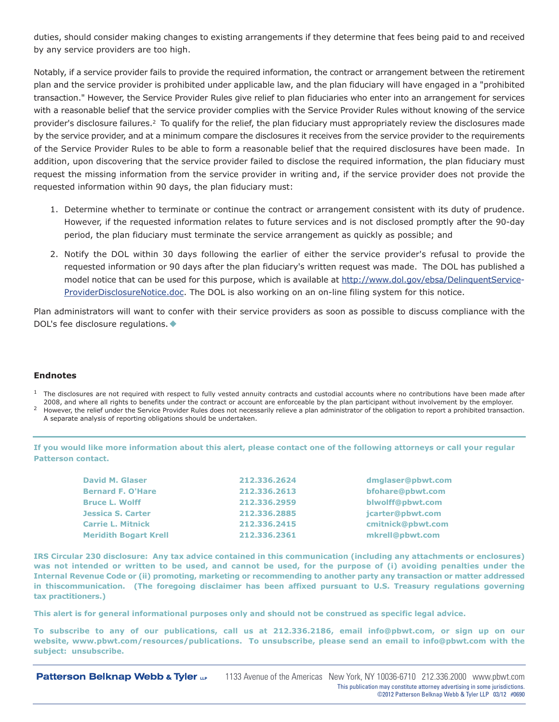duties, should consider making changes to existing arrangements if they determine that fees being paid to and received by any service providers are too high.

Notably, if a service provider fails to provide the required information, the contract or arrangement between the retirement plan and the service provider is prohibited under applicable law, and the plan fiduciary will have engaged in a "prohibited transaction." However, the Service Provider Rules give relief to plan fiduciaries who enter into an arrangement for services with a reasonable belief that the service provider complies with the Service Provider Rules without knowing of the service provider's disclosure failures.2 To qualify for the relief, the plan fiduciary must appropriately review the disclosures made by the service provider, and at a minimum compare the disclosures it receives from the service provider to the requirements of the Service Provider Rules to be able to form a reasonable belief that the required disclosures have been made. In addition, upon discovering that the service provider failed to disclose the required information, the plan fiduciary must request the missing information from the service provider in writing and, if the service provider does not provide the requested information within 90 days, the plan fiduciary must:

- 1. Determine whether to terminate or continue the contract or arrangement consistent with its duty of prudence. However, if the requested information relates to future services and is not disclosed promptly after the 90-day period, the plan fiduciary must terminate the service arrangement as quickly as possible; and
- 2. Notify the DOL within 30 days following the earlier of either the service provider's refusal to provide the requested information or 90 days after the plan fiduciary's written request was made. The DOL has published a model notice that can be used for this purpose, which is available at http://www.dol.gov/ebsa/DelinquentService-ProviderDisclosureNotice.doc. The DOL is also working on an on-line filing system for this notice.

Plan administrators will want to confer with their service providers as soon as possible to discuss compliance with the DOL's fee disclosure regulations. ♦

#### **Endnotes**

- $<sup>1</sup>$  The disclosures are not required with respect to fully vested annuity contracts and custodial accounts where no contributions have been made after</sup> 2008, and where all rights to benefits under the contract or account are enforceable by the plan participant without involvement by the employer.
- <sup>2</sup> However, the relief under the Service Provider Rules does not necessarily relieve a plan administrator of the obligation to report a prohibited transaction. A separate analysis of reporting obligations should be undertaken.

If you would like more information about this alert, please contact one of the following attorneys or call your regular **Patterson contact.**

| <b>David M. Glaser</b>       | 212.336.2624 | dmglaser@pbwt.com |
|------------------------------|--------------|-------------------|
| <b>Bernard F. O'Hare</b>     | 212.336.2613 | bfohare@pbwt.com  |
| <b>Bruce L. Wolff</b>        | 212.336.2959 | blwolff@pbwt.com  |
| <b>Jessica S. Carter</b>     | 212.336.2885 | jcarter@pbwt.com  |
| <b>Carrie L. Mitnick</b>     | 212.336.2415 | cmitnick@pbwt.com |
| <b>Meridith Bogart Krell</b> | 212.336.2361 | mkrell@pbwt.com   |

IRS Circular 230 disclosure: Any tax advice contained in this communication (including any attachments or enclosures) was not intended or written to be used, and cannot be used, for the purpose of (i) avoiding penalties under the Internal Revenue Code or (ii) promoting, marketing or recommending to another party any transaction or matter addressed **in thiscommunication. (The foregoing disclaimer has been affixed pursuant to U.S. Treasury regulations governing tax practitioners.)**

This alert is for general informational purposes only and should not be construed as specific legal advice.

To subscribe to any of our publications, call us at 212.336.2186, email [info@pbwt.com,](mailto:info@pbwt.com) or sign up on our **website, [www.pbwt.com/resources/publications.](www.pbwt.com/resources/publications) To unsubscribe, please send an email to [info@pbwt.com](mailto:info@pbwt.com) with the subject: unsubscribe.**

**Patterson Belknap Webb & Tyler LP**